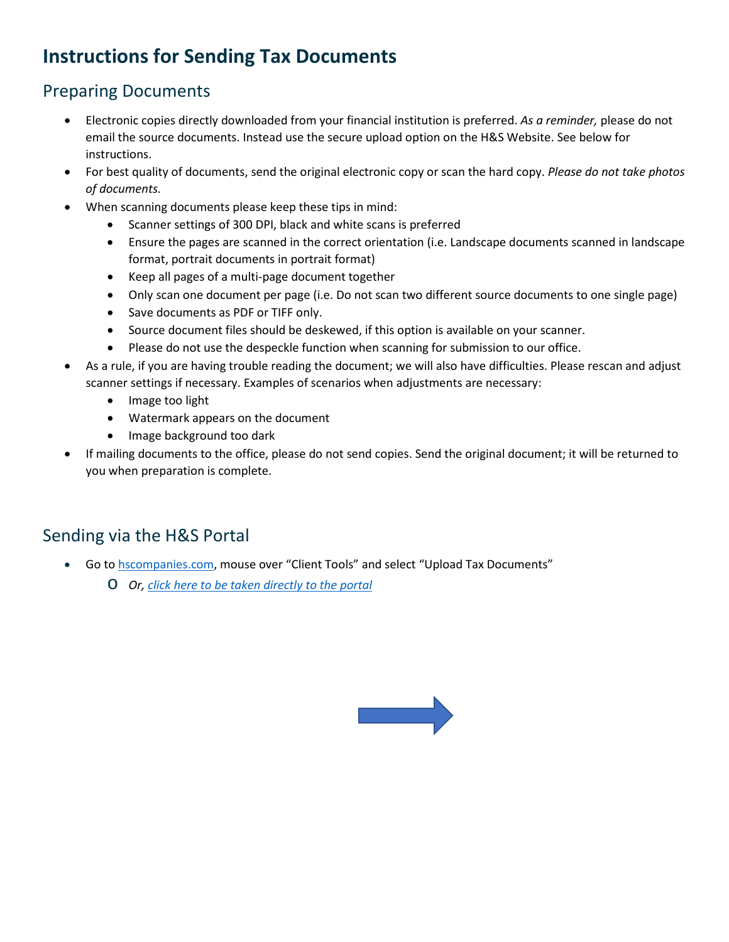## **Instructions for Sending Tax Documents**

## Preparing Documents

- Electronic copies directly downloaded from your financial institution is preferred. *As a reminder,* please do not email the source documents. Instead use the secure upload option on the H&S Website. See below for instructions.
- For best quality of documents, send the original electronic copy or scan the hard copy. *Please do not take photos of documents.*
- When scanning documents please keep these tips in mind:
	- Scanner settings of 300 DPI, black and white scans is preferred
	- Ensure the pages are scanned in the correct orientation (i.e. Landscape documents scanned in landscape format, portrait documents in portrait format)
	- Keep all pages of a multi-page document together
	- Only scan one document per page (i.e. Do not scan two different source documents to one single page)
	- Save documents as PDF or TIFF only.
	- Source document files should be deskewed, if this option is available on your scanner.
	- Please do not use the despeckle function when scanning for submission to our office.
- As a rule, if you are having trouble reading the document; we will also have difficulties. Please rescan and adjust scanner settings if necessary. Examples of scenarios when adjustments are necessary:
	- Image too light
	- Watermark appears on the document
	- Image background too dark
- If mailing documents to the office, please do not send copies. Send the original document; it will be returned to you when preparation is complete.

## Sending via the H&S Portal

- Go to **hscompanies.com**, mouse over "Client Tools" and select "Upload Tax Documents"
	- o *Or, [click here to be taken directly to the portal](https://hscompanies.sharefile.com/share/filedrop/dxb93adb-3cff-4397-a681-9a46c0d75dc4)*